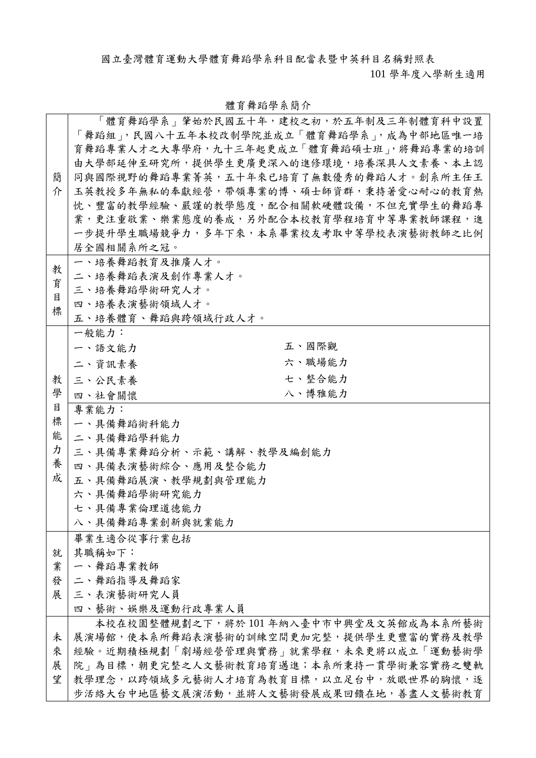國立臺灣體育運動大學體育舞蹈學系科目配當表暨中英科目名稱對照表

101 學年度入學新生適用

|   | 「體育舞蹈學系」肇始於民國五十年,建校之初,於五年制及三年制體育科中設置    |        |
|---|-----------------------------------------|--------|
|   | 「舞蹈組」,民國八十五年本校改制學院並成立「體育舞蹈學系」,成為中部地區唯一培 |        |
|   | 育舞蹈專業人才之大專學府,九十三年起更成立「體育舞蹈碩士班」,將舞蹈專業的培訓 |        |
|   | 由大學部延伸至研究所,提供學生更廣更深入的進修環境,培養深具人文素養、本土認  |        |
| 簡 | 同與國際視野的舞蹈專業菁英,五十年來已培育了無數優秀的舞蹈人才。創系所主任王  |        |
| 介 | 玉英教授多年無私的奉獻經營,帶領專業的博、碩士師資群,秉持著愛心耐心的教育熱  |        |
|   | 忱、豐富的教學經驗、嚴謹的教學態度,配合相關軟硬體設備,不但充實學生的舞蹈專  |        |
|   | 業,更注重敬業、樂業態度的養成,另外配合本校教育學程培育中等專業教師課程,進  |        |
|   | 一步提升學生職場競爭力,多年下來,本系畢業校友考取中等學校表演藝術教師之比例  |        |
|   | 居全國相關系所之冠。                              |        |
|   | 一、培養舞蹈教育及推廣人才。                          |        |
| 教 | 二、培養舞蹈表演及創作專業人才。                        |        |
| 育 | 三、培養舞蹈學術研究人才。                           |        |
| 目 | 四、培養表演藝術領域人才。                           |        |
| 標 | 五、培養體育、舞蹈與跨領域行政人才。                      |        |
|   | 一般能力:                                   |        |
|   | 五、國際觀<br>一、語文能力                         |        |
|   |                                         |        |
|   | 二、資訊素養                                  | 六、職場能力 |
| 教 | 三、公民素養                                  | 七、整合能力 |
| 學 | 四、社會關懷                                  | 八、博雅能力 |
| 目 | 專業能力:                                   |        |
| 標 | 一、具備舞蹈術科能力                              |        |
| 能 | 二、具備舞蹈學科能力                              |        |
| カ | 三、具備專業舞蹈分析、示範、講解、教學及編創能力                |        |
| 養 | 四、具備表演藝術綜合、應用及整合能力                      |        |
| 成 | 五、具備舞蹈展演、教學規劃與管理能力                      |        |
|   | 六、具備舞蹈學術研究能力                            |        |
|   | 七、具備專業倫理道德能力                            |        |
|   | 八、具備舞蹈專業創新與就業能力                         |        |
|   | 畢業生適合從事行業包括                             |        |
| 就 | 其職稱如下:                                  |        |
| 業 | 一、舞蹈專業教師                                |        |
| 發 | 二、舞蹈指導及舞蹈家                              |        |
| 展 | 三、表演藝術研究人員                              |        |
|   | 四、藝術、娛樂及運動行政專業人員                        |        |
|   | 本校在校園整體規劃之下,將於101年納入臺中市中興堂及文英館成為本系所藝術   |        |
| 未 | 展演場館,使本系所舞蹈表演藝術的訓練空間更加完整,提供學生更豐富的實務及教學  |        |
| 來 | 經驗。近期積極規劃「劇場經營管理與實務」就業學程,未來更將以成立「運動藝術學  |        |
| 展 | 院」為目標,朝更完整之人文藝術教育培育邁進;本系所秉持一貫學術兼容實務之雙軌  |        |
| 望 | 教學理念,以跨領域多元藝術人才培育為教育目標,以立足台中,放眼世界的胸懷,逐  |        |
|   | 步活絡大台中地區藝文展演活動,並將人文藝術發展成果回饋在地,善盡人文藝術教育  |        |

## 體育舞蹈學系簡介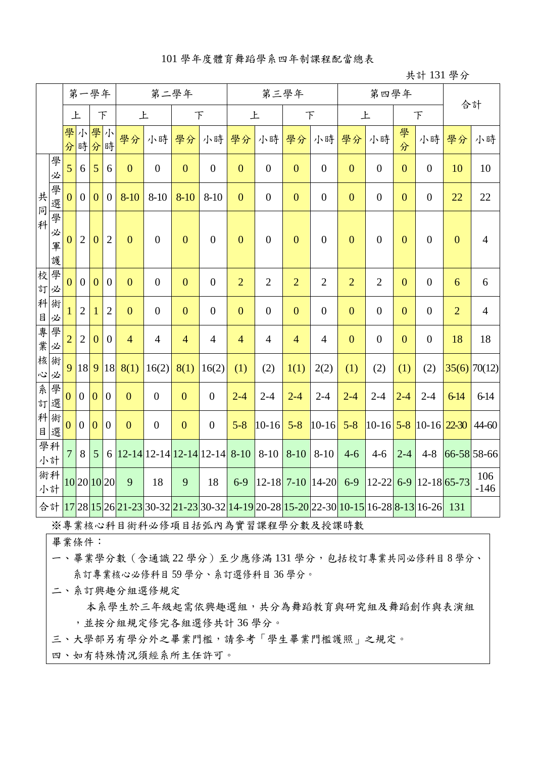#### 101 學年度體育舞蹈學系四年制課程配當總表

#### 共計 131 學分

|             |                  |                |                | 第一學年           |                |                |                                  | 第二學年             |                  |                |                  | 第三學年           |                                                        |                                                                                                                                  | 第四學年             |                |                               |                | 合計             |
|-------------|------------------|----------------|----------------|----------------|----------------|----------------|----------------------------------|------------------|------------------|----------------|------------------|----------------|--------------------------------------------------------|----------------------------------------------------------------------------------------------------------------------------------|------------------|----------------|-------------------------------|----------------|----------------|
|             |                  | 上              |                | F              |                | 上              |                                  |                  | 下                | 上              |                  |                | $\top$                                                 | 上                                                                                                                                |                  |                | $\top$                        |                |                |
|             |                  | 學<br>分         | 小              | 學小<br>時分時      |                | 學分             | 小時                               | 學分               | 小時               | 學分             | 小時               | 學分             | 小時                                                     | 學分                                                                                                                               | 小時               | 學<br>分         | 小時                            | 學分             | 小時             |
|             | 學<br>必           | 5              | 6              | 5              | 6              | $\overline{0}$ | $\boldsymbol{0}$                 | $\boldsymbol{0}$ | $\boldsymbol{0}$ | $\overline{0}$ | $\boldsymbol{0}$ | $\mathbf{0}$   | $\boldsymbol{0}$                                       | $\mathbf{0}$                                                                                                                     | $\overline{0}$   | $\overline{0}$ | $\boldsymbol{0}$              | 10             | 10             |
| 共<br>同      | 學<br>選           | $\overline{0}$ | $\overline{0}$ | $\overline{0}$ | $\overline{0}$ | $8 - 10$       | $8 - 10$                         | $8-10$           | $8 - 10$         | $\overline{0}$ | $\overline{0}$   | $\mathbf{0}$   | $\boldsymbol{0}$                                       | $\overline{0}$                                                                                                                   | $\overline{0}$   | $\overline{0}$ | $\boldsymbol{0}$              | 22             | 22             |
| 科           | 學<br>必<br>軍<br>護 | $\overline{0}$ | $\overline{2}$ | $\overline{0}$ | $\overline{2}$ | $\overline{0}$ | $\mathbf{0}$                     | $\mathbf{0}$     | $\boldsymbol{0}$ | $\overline{0}$ | $\overline{0}$   | $\mathbf{0}$   | $\boldsymbol{0}$                                       | $\overline{0}$                                                                                                                   | $\overline{0}$   | $\overline{0}$ | $\overline{0}$                | $\mathbf{0}$   | $\overline{4}$ |
|             | 校學<br>訂必         | 0              | $\overline{0}$ | $\theta$       | $\overline{0}$ | $\overline{0}$ | $\boldsymbol{0}$                 | $\mathbf{0}$     | $\overline{0}$   | $\overline{2}$ | $\overline{2}$   | $\overline{2}$ | $\overline{2}$                                         | $\overline{2}$                                                                                                                   | $\overline{2}$   | $\overline{0}$ | $\boldsymbol{0}$              | 6              | 6              |
| $\mathsf B$ | 科術<br>必          |                | $\overline{2}$ | 1              | $\overline{2}$ | $\overline{0}$ | $\overline{0}$                   | $\overline{0}$   | $\boldsymbol{0}$ | $\overline{0}$ | $\boldsymbol{0}$ | $\mathbf{0}$   | $\boldsymbol{0}$                                       | $\overline{0}$                                                                                                                   | $\overline{0}$   | $\overline{0}$ | $\overline{0}$                | $\overline{2}$ | $\overline{4}$ |
| 專<br>業      | 學<br>必           | $\overline{2}$ | $\overline{2}$ | $\overline{0}$ | $\mathbf{0}$   | $\overline{4}$ | $\overline{4}$                   | $\overline{4}$   | $\overline{4}$   | $\overline{4}$ | $\overline{4}$   | $\overline{4}$ | $\overline{4}$                                         | $\overline{0}$                                                                                                                   | $\boldsymbol{0}$ | $\overline{0}$ | $\boldsymbol{0}$              | 18             | 18             |
| 心           | 核術<br>必          | 9              | 18             | 9              | 18             | 8(1)           | 16(2)                            | 8(1)             | 16(2)            | (1)            | (2)              | 1(1)           | 2(2)                                                   | (1)                                                                                                                              | (2)              | (1)            | (2)                           |                | $35(6)$ 70(12) |
| 糸           | 學<br>訂選          | $\overline{0}$ | $\theta$       | $\theta$       | $\mathbf{0}$   | $\overline{0}$ | $\boldsymbol{0}$                 | $\mathbf{0}$     | $\boldsymbol{0}$ | $2 - 4$        | $2 - 4$          | $2 - 4$        | $2 - 4$                                                | $2 - 4$                                                                                                                          | $2 - 4$          | $2 - 4$        | $2 - 4$                       | $6 - 14$       | 6-14           |
| 目           | 科術<br>選          | $\mathbf{0}$   | $\overline{0}$ | $\overline{0}$ | $\overline{0}$ | $\overline{0}$ | $\overline{0}$                   | $\mathbf{0}$     | $\boldsymbol{0}$ | $5 - 8$        | $ 10 - 16 $      | $5 - 8$        | $10 - 16$                                              | $5 - 8$                                                                                                                          |                  |                | $10-16$ $5-8$ $10-16$ $22-30$ |                | $44 - 60$      |
|             | 學科<br>小計         | $\overline{7}$ | 8              | 5              |                |                | $6 12-14 12-14 12-14 12-14 8-10$ |                  |                  |                | $8-10$           | $8 - 10$       | $8 - 10$                                               | $4 - 6$                                                                                                                          | $4 - 6$          | $2 - 4$        | $4 - 8$                       |                | 66-58 58-66    |
|             | 術科<br>小計         |                |                | 10 20 10 20    |                | 9              | 18                               | 9                | 18               | $6-9$          |                  |                | $\left  12 - 18 \right  7 - 10 \left  14 - 20 \right $ | $6-9$                                                                                                                            |                  |                | $12 - 22$ 6-9 12-18 65-73     |                | 106<br>$-146$  |
|             |                  |                |                |                |                |                |                                  |                  |                  |                |                  |                |                                                        | 合計 <mark>17</mark> 28 15 26 21-23 30-32 <mark>21-23</mark> 30-32 14-19 20-28 15-20 22-30 10-15 16-28 <mark>8-13</mark> 16-26 131 |                  |                |                               |                |                |

※專業核心科目術科必修項目括弧內為實習課程學分數及授課時數

畢業條件:

一、畢業學分數(含通識 22 學分)至少應修滿 131 學分,包括校訂專業共同必修科目 8 學分、 系訂專業核心必修科目 59 學分、系訂選修科目 36 學分。

二、系訂興趣分組選修規定

本系學生於三年級起需依興趣選組,共分為舞蹈教育與研究組及舞蹈創作與表演組 ,並按分組規定修完各組選修共計 36 學分。

三、大學部另有學分外之畢業門檻,請參考「學生畢業門檻護照」之規定。

四、如有特殊情況須經系所主任許可。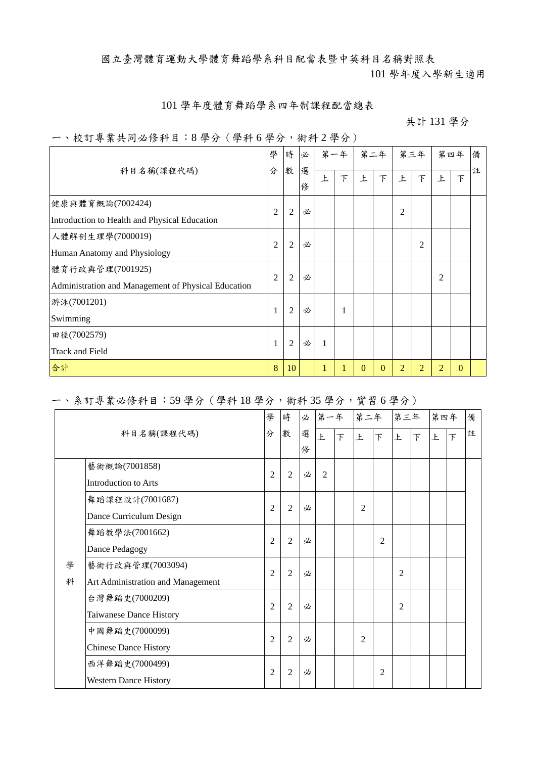國立臺灣體育運動大學體育舞蹈學系科目配當表暨中英科目名稱對照表

101 學年度入學新生適用

#### 101 學年度體育舞蹈學系四年制課程配當總表

#### 共計 131 學分

#### 一、校訂專業共同必修科目:8 學分(學科 6 學分,術科 2 學分)

|                                                     | 學              | 時              | 必      |   | 第一年 |          | 第二年      |                | 第三年            | 第四年            |          | 備 |
|-----------------------------------------------------|----------------|----------------|--------|---|-----|----------|----------|----------------|----------------|----------------|----------|---|
| 科目名稱(課程代碼)                                          | 分              | 數              | 選<br>俢 | 上 | 下   | 上        | 下        | 上              | 下              | <b>F</b>       | $\top$   | 註 |
| 健康與體育概論(7002424)                                    | $\overline{2}$ | $\overline{2}$ | 必      |   |     |          |          | $\overline{c}$ |                |                |          |   |
| Introduction to Health and Physical Education       |                |                |        |   |     |          |          |                |                |                |          |   |
| 人體解剖生理學(7000019)                                    | $\overline{2}$ | $\overline{2}$ | 必      |   |     |          |          |                | 2              |                |          |   |
| Human Anatomy and Physiology                        |                |                |        |   |     |          |          |                |                |                |          |   |
| 體育行政與管理(7001925)                                    | $\overline{2}$ | $\overline{2}$ | 必      |   |     |          |          |                |                | $\overline{2}$ |          |   |
| Administration and Management of Physical Education |                |                |        |   |     |          |          |                |                |                |          |   |
| 游泳(7001201)                                         | 1              | $\overline{2}$ | 必      |   | 1   |          |          |                |                |                |          |   |
| Swimming                                            |                |                |        |   |     |          |          |                |                |                |          |   |
| 田徑(7002579)                                         | 1              | $\overline{c}$ | 必      | 1 |     |          |          |                |                |                |          |   |
| Track and Field                                     |                |                |        |   |     |          |          |                |                |                |          |   |
| 合計                                                  | 8              | 10             |        | 1 | п   | $\Omega$ | $\Omega$ | $\overline{2}$ | $\overline{2}$ | $\overline{2}$ | $\Omega$ |   |

### 一、系訂專業必修科目:59 學分(學科 18 學分,術科 35 學分,實習 6 學分)

|   |                                   | 學              | 時              | 必 | 第一年      |                          | 第二年            |                | 第三年            |   | 第四年 |                | 備 |
|---|-----------------------------------|----------------|----------------|---|----------|--------------------------|----------------|----------------|----------------|---|-----|----------------|---|
|   | 科目名稱(課程代碼)                        | 分              | 數              | 選 | <b>F</b> | $\overline{\mathcal{F}}$ | 上              | 下              | 上              | 下 | 上   | $\overline{F}$ | 註 |
|   |                                   |                |                | 俢 |          |                          |                |                |                |   |     |                |   |
|   | 藝術概論(7001858)                     | $\overline{2}$ | 2              | 必 | 2        |                          |                |                |                |   |     |                |   |
|   | <b>Introduction to Arts</b>       |                |                |   |          |                          |                |                |                |   |     |                |   |
|   | 舞蹈課程設計(7001687)                   |                |                |   |          |                          |                |                |                |   |     |                |   |
|   | Dance Curriculum Design           | $\overline{2}$ | $\overline{2}$ | 必 |          |                          | $\overline{2}$ |                |                |   |     |                |   |
|   | 舞蹈教學法(7001662)                    | $\overline{2}$ | $\overline{2}$ | 必 |          |                          |                | $\overline{2}$ |                |   |     |                |   |
|   | Dance Pedagogy                    |                |                |   |          |                          |                |                |                |   |     |                |   |
| 學 | 藝術行政與管理(7003094)                  | $\overline{2}$ | $\overline{2}$ | 必 |          |                          |                |                | $\overline{2}$ |   |     |                |   |
| 科 | Art Administration and Management |                |                |   |          |                          |                |                |                |   |     |                |   |
|   | 台灣舞蹈史(7000209)                    |                |                | 必 |          |                          |                |                | $\overline{2}$ |   |     |                |   |
|   | Taiwanese Dance History           | $\overline{2}$ | $\overline{2}$ |   |          |                          |                |                |                |   |     |                |   |
|   | 中國舞蹈史(7000099)                    | $\overline{2}$ | $\overline{2}$ | 必 |          |                          | $\overline{2}$ |                |                |   |     |                |   |
|   | <b>Chinese Dance History</b>      |                |                |   |          |                          |                |                |                |   |     |                |   |
|   | 西洋舞蹈史(7000499)                    | $\overline{2}$ | $\overline{2}$ | 必 |          |                          |                | $\overline{2}$ |                |   |     |                |   |
|   | <b>Western Dance History</b>      |                |                |   |          |                          |                |                |                |   |     |                |   |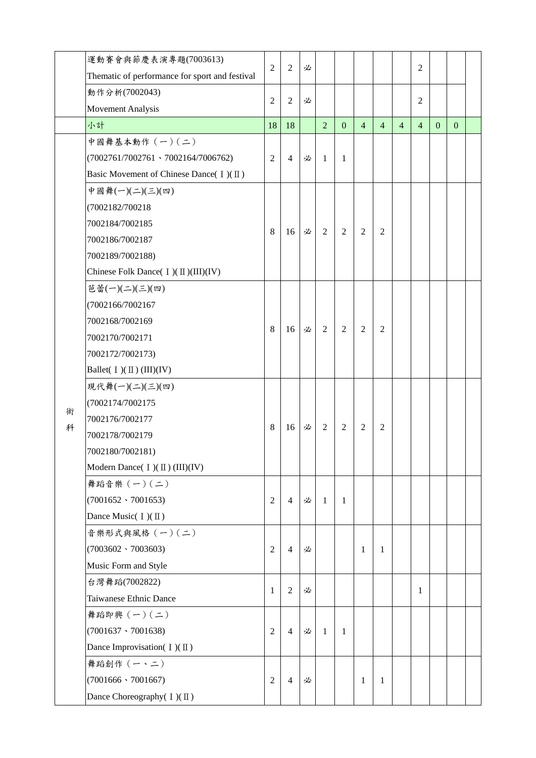|   | 運動賽會與節慶表演專題(7003613)                           |                |                |   |                |                |                |                |                |                |              |              |  |
|---|------------------------------------------------|----------------|----------------|---|----------------|----------------|----------------|----------------|----------------|----------------|--------------|--------------|--|
|   | Thematic of performance for sport and festival | $\overline{2}$ | $\overline{2}$ | 必 |                |                |                |                |                | $\overline{2}$ |              |              |  |
|   | 動作分析(7002043)                                  | $\overline{2}$ |                |   |                |                |                |                |                | $\overline{2}$ |              |              |  |
|   | <b>Movement Analysis</b>                       |                | $\overline{2}$ | 必 |                |                |                |                |                |                |              |              |  |
|   | 小計                                             | 18             | 18             |   | $\overline{2}$ | $\overline{0}$ | $\overline{4}$ | $\overline{4}$ | $\overline{4}$ | $\overline{4}$ | $\mathbf{0}$ | $\mathbf{0}$ |  |
|   | 中國舞基本動作 (一)(二)                                 |                |                |   |                |                |                |                |                |                |              |              |  |
|   | $(7002761/7002761 \cdot 7002164/7006762)$      | 2              | 4              | 必 | 1              | 1              |                |                |                |                |              |              |  |
|   | Basic Movement of Chinese Dance( $I)(II)$      |                |                |   |                |                |                |                |                |                |              |              |  |
|   | 中國舞(一)(二)(三)(四)                                |                |                |   |                |                |                |                |                |                |              |              |  |
|   | (7002182/700218                                |                |                |   |                |                |                |                |                |                |              |              |  |
|   | 7002184/7002185                                |                |                |   |                |                |                |                |                |                |              |              |  |
|   | 7002186/7002187                                | 8              | 16             | 必 | $\overline{2}$ | $\overline{2}$ | 2              | $\overline{2}$ |                |                |              |              |  |
|   | 7002189/7002188)                               |                |                |   |                |                |                |                |                |                |              |              |  |
|   | Chinese Folk Dance( I)( II)(III)(IV)           |                |                |   |                |                |                |                |                |                |              |              |  |
|   | 芭蕾(一)(二)(三)(四)                                 |                |                |   |                |                |                |                |                |                |              |              |  |
|   | (7002166/7002167                               |                |                |   |                |                |                |                |                |                |              |              |  |
|   | 7002168/7002169                                |                |                |   |                |                | 2              | $\overline{2}$ |                |                |              |              |  |
|   | 7002170/7002171                                | 8              | 16             | 必 | $\overline{2}$ | $\overline{2}$ |                |                |                |                |              |              |  |
|   | 7002172/7002173)                               |                |                |   |                |                |                |                |                |                |              |              |  |
|   | Ballet( $I)(II)(III)(IV)$                      |                |                |   |                |                |                |                |                |                |              |              |  |
|   | 現代舞(一)(二)(三)(四)                                |                |                |   |                |                |                |                |                |                |              |              |  |
|   | (7002174/7002175                               |                |                |   | $\overline{2}$ |                |                |                |                |                |              |              |  |
| 術 | 7002176/7002177                                |                |                |   |                | $\overline{2}$ | $\overline{2}$ | $\overline{2}$ |                |                |              |              |  |
| 科 | 7002178/7002179                                | 8              | 16             | 必 |                |                |                |                |                |                |              |              |  |
|   | 7002180/7002181)                               |                |                |   |                |                |                |                |                |                |              |              |  |
|   | Modern Dance( I )( II ) (III)(IV)              |                |                |   |                |                |                |                |                |                |              |              |  |
|   | 舞蹈音樂 (一)(二)                                    |                |                |   |                |                |                |                |                |                |              |              |  |
|   | $(7001652 \cdot 7001653)$                      | $\overline{2}$ | 4              | 必 | 1              | 1              |                |                |                |                |              |              |  |
|   | Dance Music $(I)(\mathbb{I})$                  |                |                |   |                |                |                |                |                |                |              |              |  |
|   | 音樂形式與風格 (一)(二)                                 |                |                |   |                |                |                |                |                |                |              |              |  |
|   | $(7003602 \cdot 7003603)$                      | $\overline{2}$ | $\overline{4}$ | 必 |                |                | $\mathbf{1}$   | 1              |                |                |              |              |  |
|   | Music Form and Style                           |                |                |   |                |                |                |                |                |                |              |              |  |
|   | 台灣舞蹈(7002822)                                  |                |                |   |                |                |                |                |                |                |              |              |  |
|   | Taiwanese Ethnic Dance                         | $\mathbf{1}$   | $\overline{2}$ | 必 |                |                |                |                |                | 1              |              |              |  |
|   | 舞蹈即興 (一)(二)                                    |                |                |   |                |                |                |                |                |                |              |              |  |
|   | $(7001637 \cdot 7001638)$                      | $\overline{2}$ | $\overline{4}$ | 必 | 1              | 1              |                |                |                |                |              |              |  |
|   | Dance Improvisation( $I$ )( $II$ )             |                |                |   |                |                |                |                |                |                |              |              |  |
|   | 舞蹈創作 (一、二)                                     |                |                |   |                |                |                |                |                |                |              |              |  |
|   | $(7001666 \cdot 7001667)$                      | $\overline{2}$ | $\overline{4}$ | 必 |                |                | 1              | 1              |                |                |              |              |  |
|   | Dance Choreography( I)(II)                     |                |                |   |                |                |                |                |                |                |              |              |  |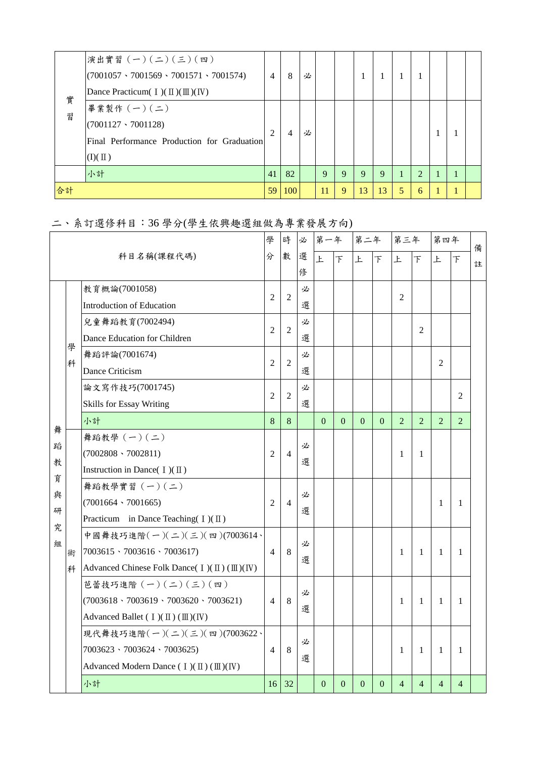| 實  | 演出實習 (一)(二)(三)(四)<br>$(7001057 \cdot 7001569 \cdot 7001571 \cdot 7001574)$   | $\overline{4}$ | 8   | 必 |             |   |    | $\mathbf{I}$ |   |               |  |  |
|----|------------------------------------------------------------------------------|----------------|-----|---|-------------|---|----|--------------|---|---------------|--|--|
|    | Dance Practicum( $I$ )( $\mathbb{II}$ )( $\mathbb{II}$ )( IV)<br>畢業製作 (一)(二) |                |     |   |             |   |    |              |   |               |  |  |
| 習  | $(7001127 \cdot 7001128)$                                                    |                |     |   |             |   |    |              |   |               |  |  |
|    | Final Performance Production for Graduation                                  | 2              | 4   | 必 |             |   |    |              |   |               |  |  |
|    | $(I)(\Pi)$                                                                   |                |     |   |             |   |    |              |   |               |  |  |
|    | 小計                                                                           | 41             | 82  |   | $\mathbf Q$ | 9 | 9  | 9            |   | $\mathcal{L}$ |  |  |
| 合計 |                                                                              | 59             | 100 |   | 11          | 9 | 13 | 13           | 5 | 6             |  |  |

# 二、系訂選修科目:36 學分(學生依興趣選組做為專業發展方向)

|             | 科目名稱(課程代碼) |                                                                                      | 學              | 時              | 必      | 第一年      |                | 第二年            |                | 第三年            |                | 第四年            |                | 備 |
|-------------|------------|--------------------------------------------------------------------------------------|----------------|----------------|--------|----------|----------------|----------------|----------------|----------------|----------------|----------------|----------------|---|
|             |            |                                                                                      | 分              | 數              | 選<br>俢 | 上        | $\top$         | 上              | 下              | 上              | $\overline{F}$ | 上              | 下              | 註 |
|             |            | 教育概論(7001058)                                                                        |                |                | 必      |          |                |                |                |                |                |                |                |   |
|             |            | Introduction of Education                                                            | 2              | $\overline{2}$ | 選      |          |                |                |                | $\overline{2}$ |                |                |                |   |
|             |            | 兒童舞蹈教育(7002494)                                                                      |                |                | 必      |          |                |                |                |                |                |                |                |   |
|             |            | Dance Education for Children                                                         | $\overline{2}$ | $\overline{2}$ | 選      |          |                |                |                |                | $\overline{2}$ |                |                |   |
|             | 學<br>科     | 舞蹈評論(7001674)                                                                        | $\overline{2}$ | $\overline{2}$ | 必      |          |                |                |                |                |                | 2              |                |   |
|             |            | Dance Criticism                                                                      |                |                | 選      |          |                |                |                |                |                |                |                |   |
|             |            | 論文寫作技巧(7001745)                                                                      | $\overline{2}$ | $\overline{2}$ | 必      |          |                |                |                |                |                |                | $\overline{c}$ |   |
|             |            | <b>Skills for Essay Writing</b>                                                      |                |                | 選      |          |                |                |                |                |                |                |                |   |
|             |            | 小計                                                                                   | 8              | 8              |        | $\Omega$ | $\mathbf{0}$   | $\Omega$       | $\Omega$       | $\overline{2}$ | $\overline{2}$ | $\overline{2}$ | $\overline{2}$ |   |
| 舞           |            | 舞蹈教學 (一)(二)                                                                          |                |                | 必      |          |                |                |                |                |                |                |                |   |
| 蹈<br>教<br>育 |            | $(7002808 \cdot 7002811)$                                                            | $\overline{2}$ | $\overline{4}$ | 選      |          |                |                |                | 1              | 1              |                |                |   |
|             |            | Instruction in Dance( $I$ )( $\Pi$ )                                                 |                |                |        |          |                |                |                |                |                |                |                |   |
| 與           |            | 舞蹈教學實習 (一)(二)                                                                        |                |                | 必      |          |                |                |                |                |                |                |                |   |
| 研           |            | $(7001664 \cdot 7001665)$                                                            | $\overline{2}$ | $\overline{4}$ | 選      |          |                |                |                |                |                | 1              | 1              |   |
| 究           |            | Practicum in Dance Teaching $(I)(\Pi)$                                               |                |                |        |          |                |                |                |                |                |                |                |   |
| 組           |            | 中國舞技巧進階 $(-)(\leq)(\leq)(\equiv)(7003614)$                                           |                |                | 必      |          |                |                |                |                |                |                |                |   |
|             | 術          | $7003615 \cdot 7003616 \cdot 7003617$                                                | $\overline{4}$ | 8              | 選      |          |                |                |                | 1              | 1              | 1              | 1              |   |
|             | 科          | Advanced Chinese Folk Dance( $I$ )( $\mathbb{I}$ )( $\mathbb{II}$ )( $\mathbb{I}$ V) |                |                |        |          |                |                |                |                |                |                |                |   |
|             |            | 芭蕾技巧進階 (一)(二)(三)(四)                                                                  |                |                | 必      |          |                |                |                |                |                |                |                |   |
|             |            | $(7003618 \cdot 7003619 \cdot 7003620 \cdot 7003621)$                                | $\overline{4}$ | 8              | 選      |          |                |                |                | 1              | 1              | 1              | 1              |   |
|             |            | Advanced Ballet ( $I$ )( $\mathbb{II}$ )( $\mathbb{II}$ )( $\mathbb{IV}$ )           |                |                |        |          |                |                |                |                |                |                |                |   |
|             |            | 現代舞技巧進階 $(-)(\leq)(\leq)(\equiv)(7003622)$                                           |                |                | 必      |          |                |                |                |                |                |                |                |   |
|             |            | $7003623 \cdot 7003624 \cdot 7003625$                                                | $\overline{4}$ | 8              |        |          |                |                |                | 1              | 1              | 1              | $\mathbf{1}$   |   |
|             |            | Advanced Modern Dance $( I)(II)(III)(IV)$                                            |                |                | 選      |          |                |                |                |                |                |                |                |   |
|             |            | 小計                                                                                   | 16             | 32             |        | $\Omega$ | $\overline{0}$ | $\overline{0}$ | $\overline{0}$ | 4              | $\overline{4}$ | $\overline{4}$ | 4              |   |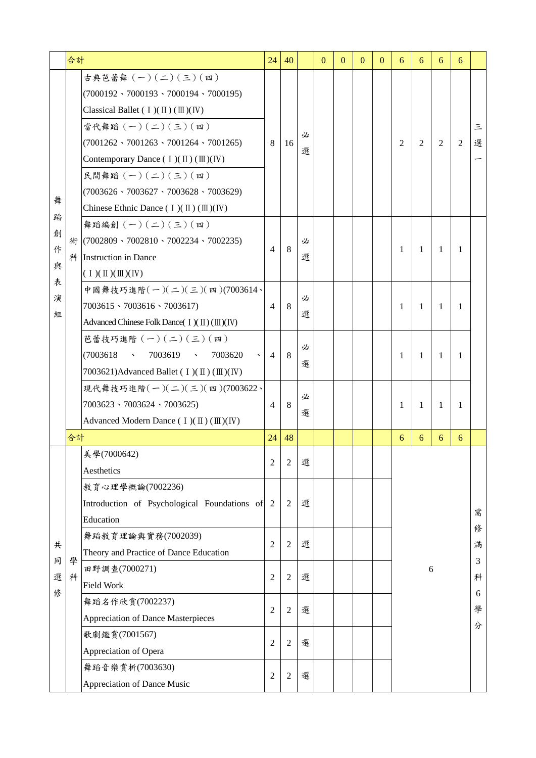|             | 合計     |                                                                                                                                                                                                                                                                                                                                                                                                                                                  | 24             | 40             |        | $\Omega$ | $\theta$ | $\Omega$ | $\Omega$ | 6              | 6  | 6  | 6              |             |
|-------------|--------|--------------------------------------------------------------------------------------------------------------------------------------------------------------------------------------------------------------------------------------------------------------------------------------------------------------------------------------------------------------------------------------------------------------------------------------------------|----------------|----------------|--------|----------|----------|----------|----------|----------------|----|----|----------------|-------------|
| 舞<br>蹈      |        | 古典芭蕾舞 (一)(二)(三)(四)<br>$(7000192 \cdot 7000193 \cdot 7000194 \cdot 7000195)$<br>Classical Ballet ( $I$ )( $\mathbb{I}$ )( $\mathbb{I}$ )( $\mathbb{I}$ )( $\mathbb{I}$ ))<br>當代舞蹈 (一)(二)(三)(四)<br>$(7001262 \cdot 7001263 \cdot 7001264 \cdot 7001265)$<br>Contemporary Dance $( I)(II)(III)(IV)$<br>民間舞蹈 (一)(二)(三)(四)<br>$(7003626 \cdot 7003627 \cdot 7003628 \cdot 7003629)$<br>Chinese Ethnic Dance $(I)(\mathbb{I})(\mathbb{I})(\mathbb{N})$ | 8              | 16             | 必<br>選 |          |          |          |          | $\overline{2}$ | 2  | 2  | $\overline{2}$ | 三<br>選      |
| 創<br>作<br>與 | 術      | 舞蹈編創 $(-)(\leq)(\leq)(\mathfrak{m})$<br>$(7002809 \cdot 7002810 \cdot 7002234 \cdot 7002235)$<br>科 Instruction in Dance<br>$(1)(\mathbb{I})(\mathbb{I})(\mathbb{N})$                                                                                                                                                                                                                                                                             | $\overline{4}$ | 8              | 必<br>選 |          |          |          |          | 1              | -1 | -1 | -1             |             |
| 表<br>演<br>組 |        | 中國舞技巧進階 $(-)(\gamma)$ (三)(四)(7003614、<br>$7003615 \cdot 7003616 \cdot 7003617$<br>Advanced Chinese Folk Dance( $I$ )( $\text{II}$ )( $\text{III}$ )( $\text{IV}$ )                                                                                                                                                                                                                                                                               | $\overline{4}$ | 8              | 必<br>選 |          |          |          |          | 1              | -1 | -1 | 1              |             |
|             |        | 芭蕾技巧進階 $(-)(-)(=)(\Xi)(\texttt{m})$<br>(7003618)<br>7003619<br>7003620<br>$\sim 100$ km s $^{-1}$<br>$\sim 100$ km s $^{-1}$<br>7003621)Advanced Ballet (I)(II)(II)(IV)                                                                                                                                                                                                                                                                          | 4              | 8              | 必<br>選 |          |          |          |          | 1              | -1 | -1 | 1              |             |
|             |        | 現代舞技巧進階 $( - ) ( = ) ( \le ) ( \equiv ) ( 7003622 )$<br>$7003623 \cdot 7003624 \cdot 7003625$<br>Advanced Modern Dance (I)(II)(II)(IV)                                                                                                                                                                                                                                                                                                           | $\overline{4}$ | 8              | 必<br>選 |          |          |          |          | 1              | 1  | 1  | 1              |             |
|             | 合計     |                                                                                                                                                                                                                                                                                                                                                                                                                                                  | 24             | 48             |        |          |          |          |          | 6              | 6  | 6  | 6              |             |
|             |        | 美學(7000642)<br>Aesthetics                                                                                                                                                                                                                                                                                                                                                                                                                        | 2              | 2              | 選      |          |          |          |          |                |    |    |                |             |
|             |        | 教育心理學概論(7002236)<br>Introduction of Psychological Foundations of 2<br>Education                                                                                                                                                                                                                                                                                                                                                                  |                | $\overline{2}$ | 選      |          |          |          |          |                |    |    |                | 需           |
| 共           |        | 舞蹈教育理論與實務(7002039)<br>Theory and Practice of Dance Education                                                                                                                                                                                                                                                                                                                                                                                     | $\overline{2}$ | $\overline{2}$ | 選      |          |          |          |          |                |    |    |                | 俢<br>滿      |
| 同<br>選      | 學<br>科 | 田野調查(7000271)<br><b>Field Work</b>                                                                                                                                                                                                                                                                                                                                                                                                               | $\overline{2}$ | $\overline{2}$ | 選      |          |          |          |          | 6              |    |    |                | 3<br>科<br>6 |
| 俢           |        | 舞蹈名作欣賞(7002237)<br><b>Appreciation of Dance Masterpieces</b>                                                                                                                                                                                                                                                                                                                                                                                     | $\overline{2}$ | $\overline{2}$ | 選      |          |          |          |          |                |    |    |                | 學<br>分      |
|             |        | 歌劇鑑賞(7001567)<br>Appreciation of Opera                                                                                                                                                                                                                                                                                                                                                                                                           | $\overline{2}$ | $\overline{2}$ | 選      |          |          |          |          |                |    |    |                |             |
|             |        | 舞蹈音樂賞析(7003630)<br>Appreciation of Dance Music                                                                                                                                                                                                                                                                                                                                                                                                   | $\overline{2}$ | $\overline{2}$ | 選      |          |          |          |          |                |    |    |                |             |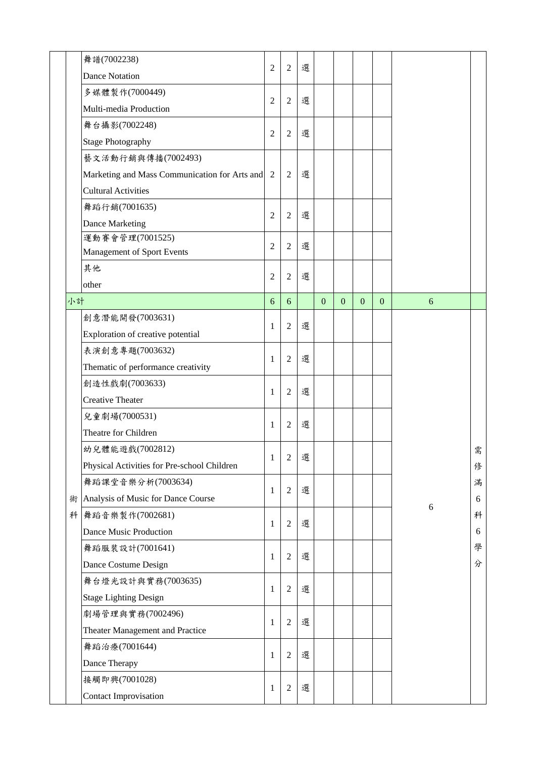|    | 舞譜(7002238)<br><b>Dance Notation</b>          | $\overline{2}$ | $\overline{2}$ | 選 |              |          |              |              |   |   |
|----|-----------------------------------------------|----------------|----------------|---|--------------|----------|--------------|--------------|---|---|
|    | 多媒體製作(7000449)                                |                |                |   |              |          |              |              |   |   |
|    | Multi-media Production                        | $\overline{2}$ | $\overline{2}$ | 選 |              |          |              |              |   |   |
|    | 舞台攝影(7002248)                                 |                |                |   |              |          |              |              |   |   |
|    | <b>Stage Photography</b>                      | $\overline{2}$ | $\overline{2}$ | 選 |              |          |              |              |   |   |
|    | 藝文活動行銷與傳播(7002493)                            |                |                |   |              |          |              |              |   |   |
|    | Marketing and Mass Communication for Arts and | 2              | $\overline{2}$ | 選 |              |          |              |              |   |   |
|    | <b>Cultural Activities</b>                    |                |                |   |              |          |              |              |   |   |
|    | 舞蹈行銷(7001635)                                 |                |                |   |              |          |              |              |   |   |
|    | Dance Marketing                               | $\overline{2}$ | $\overline{2}$ | 選 |              |          |              |              |   |   |
|    | 運動賽會管理(7001525)                               |                |                |   |              |          |              |              |   |   |
|    | Management of Sport Events                    | $\overline{2}$ | $\overline{2}$ | 選 |              |          |              |              |   |   |
|    | 其他                                            |                |                |   |              |          |              |              |   |   |
|    | other                                         | $\overline{2}$ | $\overline{2}$ | 選 |              |          |              |              |   |   |
| 小計 |                                               | 6              | 6              |   | $\mathbf{0}$ | $\Omega$ | $\mathbf{0}$ | $\mathbf{0}$ | 6 |   |
|    | 創意潛能開發(7003631)                               |                |                |   |              |          |              |              |   |   |
|    | Exploration of creative potential             | 1              | $\overline{2}$ | 選 |              |          |              |              |   |   |
|    | 表演創意專題(7003632)                               |                |                |   |              |          |              |              |   |   |
|    | Thematic of performance creativity            | 1              | $\overline{2}$ | 選 |              |          |              |              |   |   |
|    | 創造性戲劇(7003633)                                |                |                |   |              |          |              |              |   |   |
|    | <b>Creative Theater</b>                       | 1              | $\overline{2}$ | 選 |              |          |              |              |   |   |
|    | 兒童劇場(7000531)                                 |                |                |   |              |          |              |              |   |   |
|    | Theatre for Children                          | 1              | $\overline{2}$ | 選 |              |          |              |              |   |   |
|    | 幼兒體能遊戲(7002812)                               |                |                |   |              |          |              |              |   | 需 |
|    | Physical Activities for Pre-school Children   | 1              | $\overline{2}$ | 選 |              |          |              |              |   | 俢 |
|    | 舞蹈課堂音樂分析(7003634)                             |                |                |   |              |          |              |              |   | 滿 |
| 術  | Analysis of Music for Dance Course            | 1              | $\overline{2}$ | 選 |              |          |              |              |   | 6 |
| 科  | 舞蹈音樂製作(7002681)                               |                |                |   |              |          |              |              | 6 | 科 |
|    | Dance Music Production                        | 1              | $\overline{2}$ | 選 |              |          |              |              |   | 6 |
|    | 舞蹈服裝設計(7001641)                               |                |                |   |              |          |              |              |   | 學 |
|    | Dance Costume Design                          | 1              | $\overline{2}$ | 選 |              |          |              |              |   | 分 |
|    | 舞台燈光設計與實務(7003635)                            |                |                |   |              |          |              |              |   |   |
|    | <b>Stage Lighting Design</b>                  | 1              | $\overline{2}$ | 選 |              |          |              |              |   |   |
|    |                                               |                |                |   |              |          |              |              |   |   |
|    | 劇場管理與實務(7002496)                              |                |                |   |              |          |              |              |   |   |
|    | Theater Management and Practice               | 1              | $\overline{2}$ | 選 |              |          |              |              |   |   |
|    | 舞蹈治療(7001644)                                 |                |                |   |              |          |              |              |   |   |
|    | Dance Therapy                                 | 1              | $\overline{2}$ | 選 |              |          |              |              |   |   |
|    | 接觸即興(7001028)                                 |                | $\overline{2}$ | 選 |              |          |              |              |   |   |